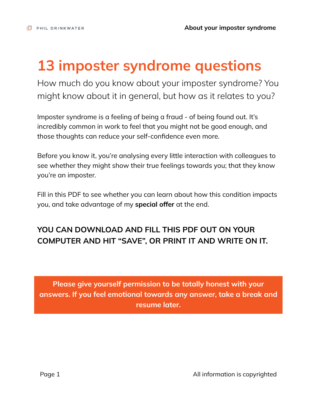## **13 imposter syndrome questions**

How much do you know about your imposter syndrome? You might know about it in general, but how as it relates to you?

Imposter syndrome is a feeling of being a fraud - of being found out. It's incredibly common in work to feel that you might not be good enough, and those thoughts can reduce your self-confidence even more.

Before you know it, you're analysing every little interaction with colleagues to see whether they might show their true feelings towards you; that they know you're an imposter.

Fill in this PDF to see whether you can learn about how this condition impacts you, and take advantage of my **special offer** at the end.

## **YOU CAN DOWNLOAD AND FILL THIS PDF OUT ON YOUR COMPUTER AND HIT "SAVE", OR PRINT IT AND WRITE ON IT.**

**Please give yourself permission to be totally honest with your answers. If you feel emotional towards any answer, take a break and resume later.**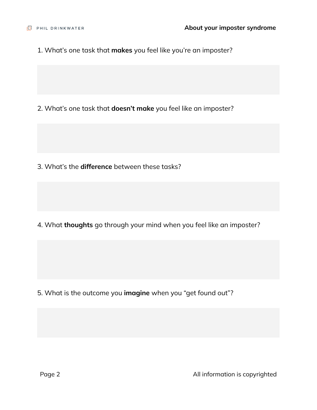1. What's one task that **makes** you feel like you're an imposter?

2. What's one task that **doesn't make** you feel like an imposter?

3. What's the **difference** between these tasks?

4. What **thoughts** go through your mind when you feel like an imposter?

5. What is the outcome you **imagine** when you "get found out"?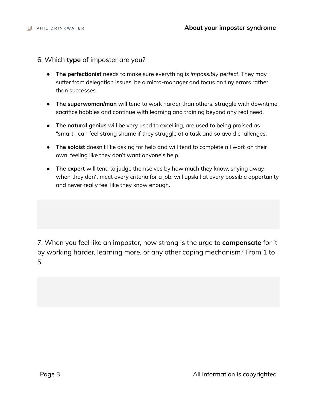- 6. Which **type** of imposter are you?
	- **The perfectionist** needs to make sure everything is *impossibly perfect*. They may suffer from delegation issues, be a micro-manager and focus on tiny errors rather than successes.
	- **The superwoman/man** will tend to work harder than others, struggle with downtime, sacrifice hobbies and continue with learning and training beyond any real need.
	- **The natural genius** will be very used to excelling, are used to being praised as "smart", can feel strong shame if they struggle at a task and so avoid challenges.
	- **The soloist** doesn't like asking for help and will tend to complete all work on their own, feeling like they don't want anyone's help.
	- **The expert** will tend to judge themselves by how much they know, shying away when they don't meet every criteria for a job, will upskill at every possible opportunity and never really feel like they know enough.

7. When you feel like an imposter, how strong is the urge to **compensate** for it by working harder, learning more, or any other coping mechanism? From 1 to 5.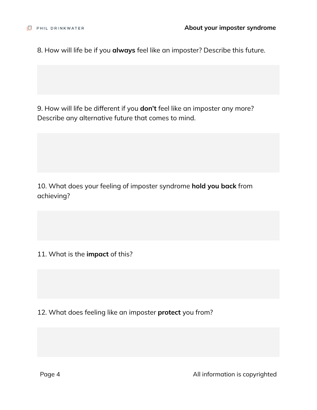8. How will life be if you **always** feel like an imposter? Describe this future.

9. How will life be different if you **don't** feel like an imposter any more? Describe any alternative future that comes to mind.

10. What does your feeling of imposter syndrome **hold you back** from achieving?

11. What is the **impact** of this?

12. What does feeling like an imposter **protect** you from?